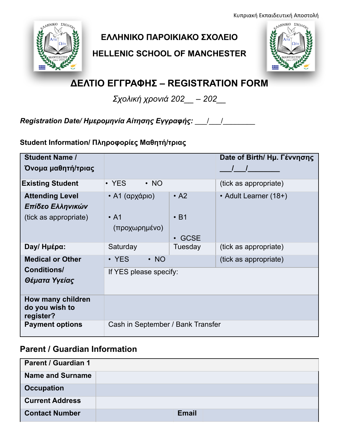Κυπριακή Εκπαιδευτική Αποστολή



## **ΕΛΛΗΝΙΚΟ ΠΑΡΟΙΚΙΑΚΟ ΣΧΟΛΕΙΟ**

**HELLENIC SCHOOL OF MANCHESTER**



# **ΔΕΛΤΙΟ ΕΓΓΡΑΦΗΣ – REGISTRATION FORM**

*Σχολική χρονιά 202\_\_ – 202\_\_*

*Registration Date/ Ηµεροµηνία Αίτησης Εγγραφής:* \_\_\_/\_\_\_/\_\_\_\_\_\_\_\_

**Student Information/ Πληροφορίες Μαθητή/τριας**

| <b>Student Name /</b><br>Όνομα μαθητή/τριας      |                                   |                 | Date of Birth/ Ημ. Γέννησης |  |
|--------------------------------------------------|-----------------------------------|-----------------|-----------------------------|--|
| <b>Existing Student</b>                          | • YES<br>$\cdot$ NO               |                 | (tick as appropriate)       |  |
| <b>Attending Level</b><br>Επίδεο Ελληνικών       | • Α1 (αρχάριο)                    | $\cdot$ A2      | • Adult Learner (18+)       |  |
| (tick as appropriate)                            | $\cdot$ A1<br>(προχωρημένο)       | $\cdot$ B1      |                             |  |
| Day/Hμέρα:                                       | Saturday                          | GCSE<br>Tuesday | (tick as appropriate)       |  |
| <b>Medical or Other</b>                          | • YES<br>$\cdot$ NO               |                 | (tick as appropriate)       |  |
| <b>Conditions/</b><br>Θέματα Υγείας              | If YES please specify:            |                 |                             |  |
| How many children<br>do you wish to<br>register? |                                   |                 |                             |  |
| <b>Payment options</b>                           | Cash in September / Bank Transfer |                 |                             |  |

### **Parent / Guardian Information**

| <b>Parent / Guardian 1</b> |              |
|----------------------------|--------------|
| <b>Name and Surname</b>    |              |
| <b>Occupation</b>          |              |
| <b>Current Address</b>     |              |
| <b>Contact Number</b>      | <b>Email</b> |